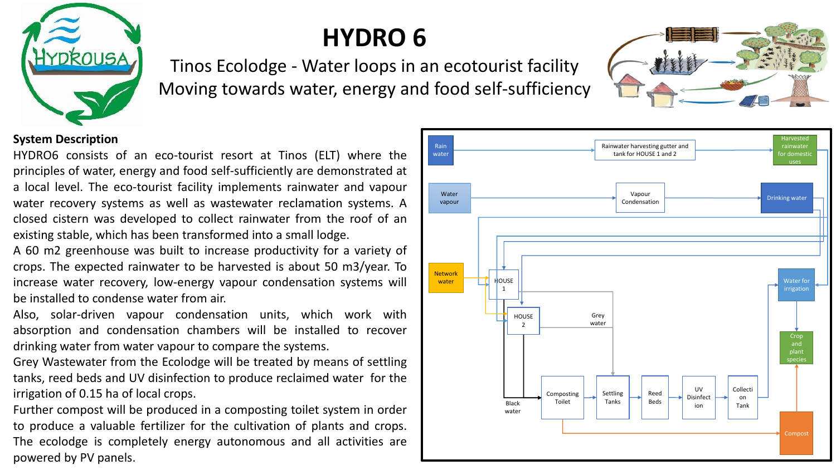

## **HYDRO 6**

Tinos Ecolodge - Water loops in an ecotourist facility Moving towards water, energy and food self-sufficiency

**System Description**

HYDRO6 consists of an eco-tourist resort at Tinos (ELT) where the principles of water, energy and food self-sufficiently are demonstrated at a local level. The eco-tourist facility implements rainwater and vapour water recovery systems as well as wastewater reclamation systems. A closed cistern was developed to collect rainwater from the roof of an existing stable, which has been transformed into a small lodge.

A 60 m2 greenhouse was built to increase productivity for a variety of crops. The expected rainwater to be harvested is about 50 m3/year. To increase water recovery, low-energy vapour condensation systems will be installed to condense water from air.

Also, solar-driven vapour condensation units, which work with absorption and condensation chambers will be installed to recover drinking water from water vapour to compare the systems.

Grey Wastewater from the Ecolodge will be treated by means of settling tanks, reed beds and UV disinfection to produce reclaimed water for the irrigation of 0.15 ha of local crops.

Further compost will be produced in a composting toilet system in order to produce a valuable fertilizer for the cultivation of plants and crops. The ecolodge is completely energy autonomous and all activities are powered by PV panels.